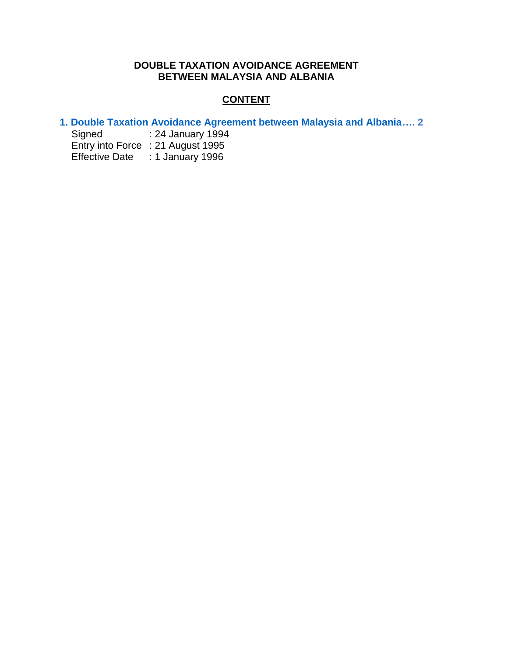# **DOUBLE TAXATION AVOIDANCE AGREEMENT BETWEEN MALAYSIA AND ALBANIA**

# **CONTENT**

- **[1. Double Taxation Avoidance Agreement between Malaysia and Albania…](#page-1-0). 2**
	- : 24 January 1994 Entry into Force : 21 August 1995 Effective Date : 1 January 1996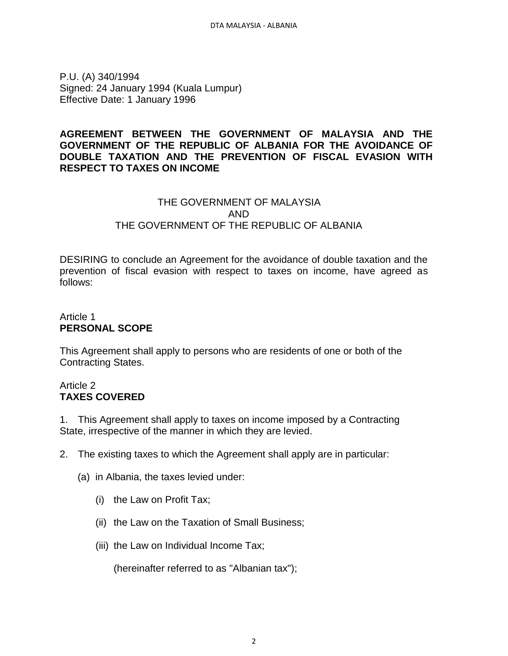<span id="page-1-0"></span>P.U. (A) 340/1994 Signed: 24 January 1994 (Kuala Lumpur) Effective Date: 1 January 1996

## **AGREEMENT BETWEEN THE GOVERNMENT OF MALAYSIA AND THE GOVERNMENT OF THE REPUBLIC OF ALBANIA FOR THE AVOIDANCE OF DOUBLE TAXATION AND THE PREVENTION OF FISCAL EVASION WITH RESPECT TO TAXES ON INCOME**

# THE GOVERNMENT OF MALAYSIA AND THE GOVERNMENT OF THE REPUBLIC OF ALBANIA

DESIRING to conclude an Agreement for the avoidance of double taxation and the prevention of fiscal evasion with respect to taxes on income, have agreed as follows:

# Article 1 **PERSONAL SCOPE**

This Agreement shall apply to persons who are residents of one or both of the Contracting States.

## Article 2 **TAXES COVERED**

1. This Agreement shall apply to taxes on income imposed by a Contracting State, irrespective of the manner in which they are levied.

- 2. The existing taxes to which the Agreement shall apply are in particular:
	- (a) in Albania, the taxes levied under:
		- (i) the Law on Profit Tax;
		- (ii) the Law on the Taxation of Small Business;
		- (iii) the Law on Individual Income Tax;

(hereinafter referred to as "Albanian tax");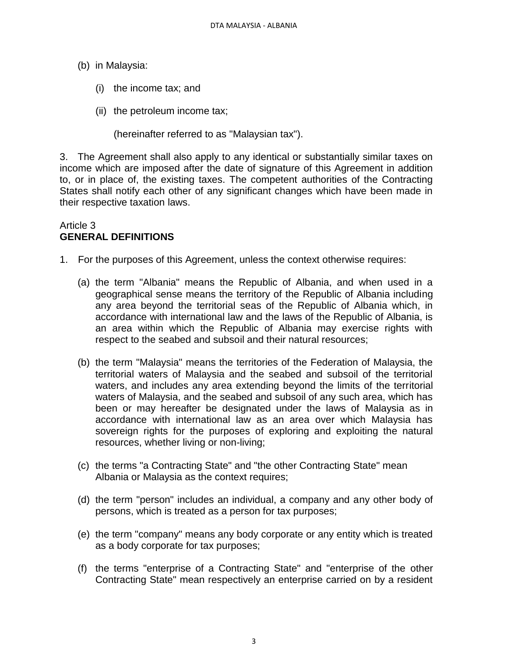- (b) in Malaysia:
	- (i) the income tax; and
	- (ii) the petroleum income tax;

(hereinafter referred to as "Malaysian tax").

3. The Agreement shall also apply to any identical or substantially similar taxes on income which are imposed after the date of signature of this Agreement in addition to, or in place of, the existing taxes. The competent authorities of the Contracting States shall notify each other of any significant changes which have been made in their respective taxation laws.

# Article 3 **GENERAL DEFINITIONS**

- 1. For the purposes of this Agreement, unless the context otherwise requires:
	- (a) the term "Albania" means the Republic of Albania, and when used in a geographical sense means the territory of the Republic of Albania including any area beyond the territorial seas of the Republic of Albania which, in accordance with international law and the laws of the Republic of Albania, is an area within which the Republic of Albania may exercise rights with respect to the seabed and subsoil and their natural resources;
	- (b) the term "Malaysia" means the territories of the Federation of Malaysia, the territorial waters of Malaysia and the seabed and subsoil of the territorial waters, and includes any area extending beyond the limits of the territorial waters of Malaysia, and the seabed and subsoil of any such area, which has been or may hereafter be designated under the laws of Malaysia as in accordance with international law as an area over which Malaysia has sovereign rights for the purposes of exploring and exploiting the natural resources, whether living or non-living;
	- (c) the terms "a Contracting State" and "the other Contracting State" mean Albania or Malaysia as the context requires;
	- (d) the term "person" includes an individual, a company and any other body of persons, which is treated as a person for tax purposes;
	- (e) the term "company" means any body corporate or any entity which is treated as a body corporate for tax purposes;
	- (f) the terms "enterprise of a Contracting State" and "enterprise of the other Contracting State" mean respectively an enterprise carried on by a resident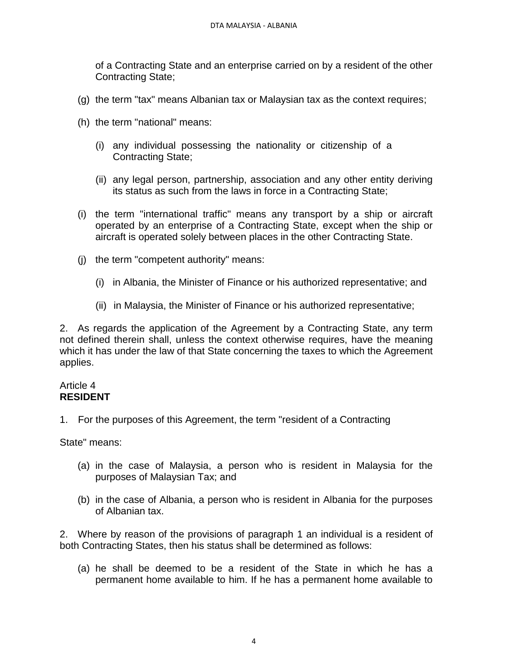of a Contracting State and an enterprise carried on by a resident of the other Contracting State;

- (g) the term "tax" means Albanian tax or Malaysian tax as the context requires;
- (h) the term "national" means:
	- (i) any individual possessing the nationality or citizenship of a Contracting State;
	- (ii) any legal person, partnership, association and any other entity deriving its status as such from the laws in force in a Contracting State;
- (i) the term "international traffic" means any transport by a ship or aircraft operated by an enterprise of a Contracting State, except when the ship or aircraft is operated solely between places in the other Contracting State.
- (j) the term "competent authority" means:
	- (i) in Albania, the Minister of Finance or his authorized representative; and
	- (ii) in Malaysia, the Minister of Finance or his authorized representative;

2. As regards the application of the Agreement by a Contracting State, any term not defined therein shall, unless the context otherwise requires, have the meaning which it has under the law of that State concerning the taxes to which the Agreement applies.

#### Article 4 **RESIDENT**

1. For the purposes of this Agreement, the term "resident of a Contracting

State" means:

- (a) in the case of Malaysia, a person who is resident in Malaysia for the purposes of Malaysian Tax; and
- (b) in the case of Albania, a person who is resident in Albania for the purposes of Albanian tax.

2. Where by reason of the provisions of paragraph 1 an individual is a resident of both Contracting States, then his status shall be determined as follows:

(a) he shall be deemed to be a resident of the State in which he has a permanent home available to him. If he has a permanent home available to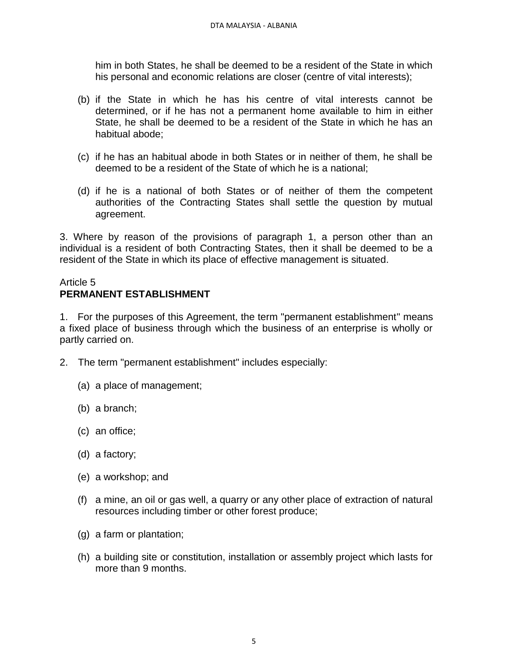him in both States, he shall be deemed to be a resident of the State in which his personal and economic relations are closer (centre of vital interests);

- (b) if the State in which he has his centre of vital interests cannot be determined, or if he has not a permanent home available to him in either State, he shall be deemed to be a resident of the State in which he has an habitual abode;
- (c) if he has an habitual abode in both States or in neither of them, he shall be deemed to be a resident of the State of which he is a national;
- (d) if he is a national of both States or of neither of them the competent authorities of the Contracting States shall settle the question by mutual agreement.

3. Where by reason of the provisions of paragraph 1, a person other than an individual is a resident of both Contracting States, then it shall be deemed to be a resident of the State in which its place of effective management is situated.

# Article 5 **PERMANENT ESTABLISHMENT**

1. For the purposes of this Agreement, the term "permanent establishment" means a fixed place of business through which the business of an enterprise is wholly or partly carried on.

- 2. The term "permanent establishment" includes especially:
	- (a) a place of management;
	- (b) a branch;
	- (c) an office;
	- (d) a factory;
	- (e) a workshop; and
	- (f) a mine, an oil or gas well, a quarry or any other place of extraction of natural resources including timber or other forest produce;
	- (g) a farm or plantation;
	- (h) a building site or constitution, installation or assembly project which lasts for more than 9 months.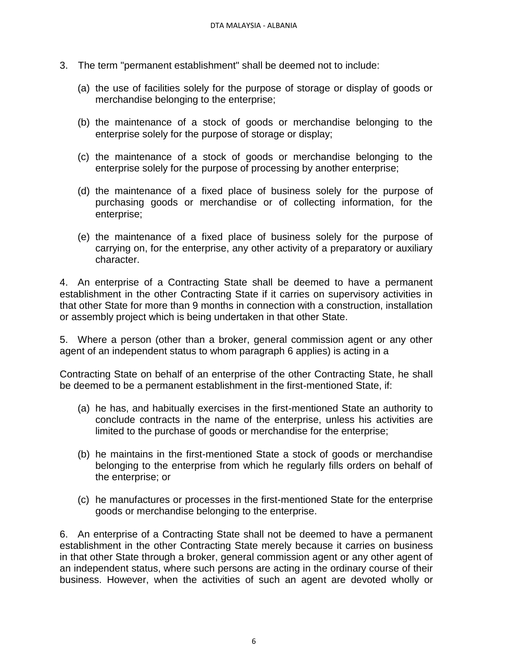- 3. The term "permanent establishment" shall be deemed not to include:
	- (a) the use of facilities solely for the purpose of storage or display of goods or merchandise belonging to the enterprise;
	- (b) the maintenance of a stock of goods or merchandise belonging to the enterprise solely for the purpose of storage or display;
	- (c) the maintenance of a stock of goods or merchandise belonging to the enterprise solely for the purpose of processing by another enterprise;
	- (d) the maintenance of a fixed place of business solely for the purpose of purchasing goods or merchandise or of collecting information, for the enterprise;
	- (e) the maintenance of a fixed place of business solely for the purpose of carrying on, for the enterprise, any other activity of a preparatory or auxiliary character.

4. An enterprise of a Contracting State shall be deemed to have a permanent establishment in the other Contracting State if it carries on supervisory activities in that other State for more than 9 months in connection with a construction, installation or assembly project which is being undertaken in that other State.

5. Where a person (other than a broker, general commission agent or any other agent of an independent status to whom paragraph 6 applies) is acting in a

Contracting State on behalf of an enterprise of the other Contracting State, he shall be deemed to be a permanent establishment in the first-mentioned State, if:

- (a) he has, and habitually exercises in the first-mentioned State an authority to conclude contracts in the name of the enterprise, unless his activities are limited to the purchase of goods or merchandise for the enterprise;
- (b) he maintains in the first-mentioned State a stock of goods or merchandise belonging to the enterprise from which he regularly fills orders on behalf of the enterprise; or
- (c) he manufactures or processes in the first-mentioned State for the enterprise goods or merchandise belonging to the enterprise.

6. An enterprise of a Contracting State shall not be deemed to have a permanent establishment in the other Contracting State merely because it carries on business in that other State through a broker, general commission agent or any other agent of an independent status, where such persons are acting in the ordinary course of their business. However, when the activities of such an agent are devoted wholly or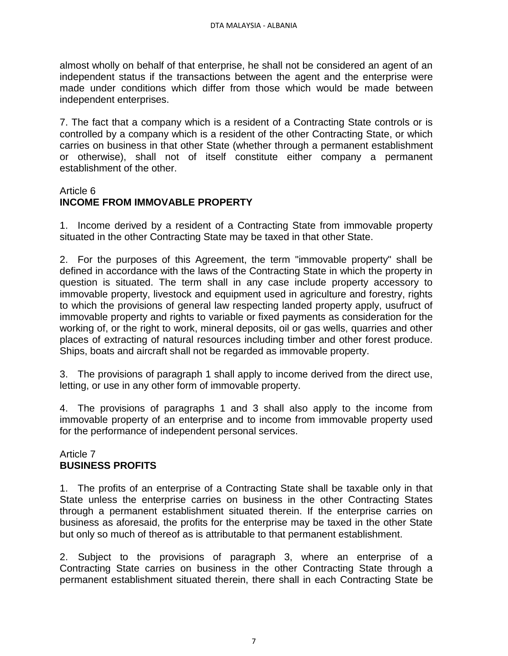almost wholly on behalf of that enterprise, he shall not be considered an agent of an independent status if the transactions between the agent and the enterprise were made under conditions which differ from those which would be made between independent enterprises.

7. The fact that a company which is a resident of a Contracting State controls or is controlled by a company which is a resident of the other Contracting State, or which carries on business in that other State (whether through a permanent establishment or otherwise), shall not of itself constitute either company a permanent establishment of the other.

#### Article 6

# **INCOME FROM IMMOVABLE PROPERTY**

1. Income derived by a resident of a Contracting State from immovable property situated in the other Contracting State may be taxed in that other State.

2. For the purposes of this Agreement, the term "immovable property" shall be defined in accordance with the laws of the Contracting State in which the property in question is situated. The term shall in any case include property accessory to immovable property, livestock and equipment used in agriculture and forestry, rights to which the provisions of general law respecting landed property apply, usufruct of immovable property and rights to variable or fixed payments as consideration for the working of, or the right to work, mineral deposits, oil or gas wells, quarries and other places of extracting of natural resources including timber and other forest produce. Ships, boats and aircraft shall not be regarded as immovable property.

3. The provisions of paragraph 1 shall apply to income derived from the direct use, letting, or use in any other form of immovable property.

4. The provisions of paragraphs 1 and 3 shall also apply to the income from immovable property of an enterprise and to income from immovable property used for the performance of independent personal services.

## Article 7 **BUSINESS PROFITS**

1. The profits of an enterprise of a Contracting State shall be taxable only in that State unless the enterprise carries on business in the other Contracting States through a permanent establishment situated therein. If the enterprise carries on business as aforesaid, the profits for the enterprise may be taxed in the other State but only so much of thereof as is attributable to that permanent establishment.

2. Subject to the provisions of paragraph 3, where an enterprise of a Contracting State carries on business in the other Contracting State through a permanent establishment situated therein, there shall in each Contracting State be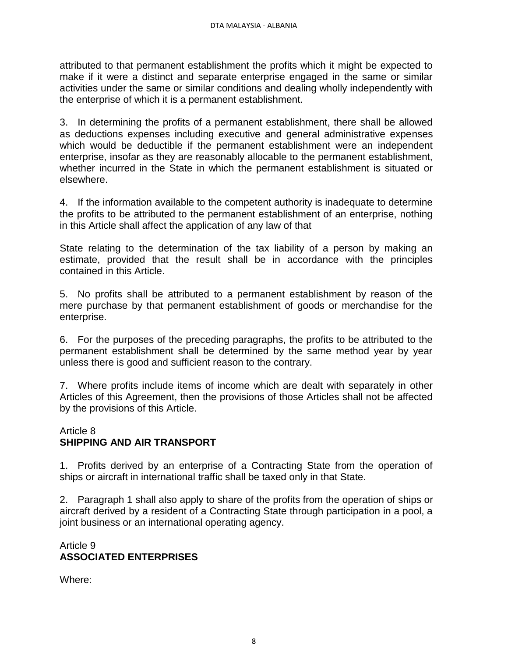attributed to that permanent establishment the profits which it might be expected to make if it were a distinct and separate enterprise engaged in the same or similar activities under the same or similar conditions and dealing wholly independently with the enterprise of which it is a permanent establishment.

3. In determining the profits of a permanent establishment, there shall be allowed as deductions expenses including executive and general administrative expenses which would be deductible if the permanent establishment were an independent enterprise, insofar as they are reasonably allocable to the permanent establishment, whether incurred in the State in which the permanent establishment is situated or elsewhere.

4. If the information available to the competent authority is inadequate to determine the profits to be attributed to the permanent establishment of an enterprise, nothing in this Article shall affect the application of any law of that

State relating to the determination of the tax liability of a person by making an estimate, provided that the result shall be in accordance with the principles contained in this Article.

5. No profits shall be attributed to a permanent establishment by reason of the mere purchase by that permanent establishment of goods or merchandise for the enterprise.

6. For the purposes of the preceding paragraphs, the profits to be attributed to the permanent establishment shall be determined by the same method year by year unless there is good and sufficient reason to the contrary.

7. Where profits include items of income which are dealt with separately in other Articles of this Agreement, then the provisions of those Articles shall not be affected by the provisions of this Article.

## Article 8 **SHIPPING AND AIR TRANSPORT**

1. Profits derived by an enterprise of a Contracting State from the operation of ships or aircraft in international traffic shall be taxed only in that State.

2. Paragraph 1 shall also apply to share of the profits from the operation of ships or aircraft derived by a resident of a Contracting State through participation in a pool, a joint business or an international operating agency.

# Article 9 **ASSOCIATED ENTERPRISES**

Where: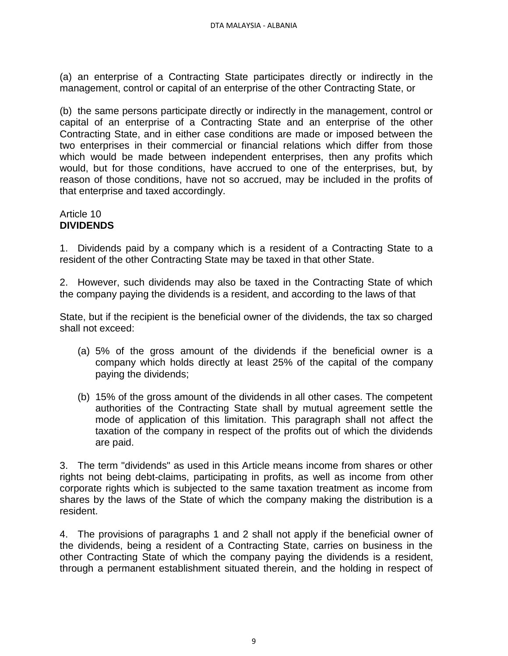(a) an enterprise of a Contracting State participates directly or indirectly in the management, control or capital of an enterprise of the other Contracting State, or

(b) the same persons participate directly or indirectly in the management, control or capital of an enterprise of a Contracting State and an enterprise of the other Contracting State, and in either case conditions are made or imposed between the two enterprises in their commercial or financial relations which differ from those which would be made between independent enterprises, then any profits which would, but for those conditions, have accrued to one of the enterprises, but, by reason of those conditions, have not so accrued, may be included in the profits of that enterprise and taxed accordingly.

## Article 10 **DIVIDENDS**

1. Dividends paid by a company which is a resident of a Contracting State to a resident of the other Contracting State may be taxed in that other State.

2. However, such dividends may also be taxed in the Contracting State of which the company paying the dividends is a resident, and according to the laws of that

State, but if the recipient is the beneficial owner of the dividends, the tax so charged shall not exceed:

- (a) 5% of the gross amount of the dividends if the beneficial owner is a company which holds directly at least 25% of the capital of the company paying the dividends;
- (b) 15% of the gross amount of the dividends in all other cases. The competent authorities of the Contracting State shall by mutual agreement settle the mode of application of this limitation. This paragraph shall not affect the taxation of the company in respect of the profits out of which the dividends are paid.

3. The term "dividends" as used in this Article means income from shares or other rights not being debt-claims, participating in profits, as well as income from other corporate rights which is subjected to the same taxation treatment as income from shares by the laws of the State of which the company making the distribution is a resident.

4. The provisions of paragraphs 1 and 2 shall not apply if the beneficial owner of the dividends, being a resident of a Contracting State, carries on business in the other Contracting State of which the company paying the dividends is a resident, through a permanent establishment situated therein, and the holding in respect of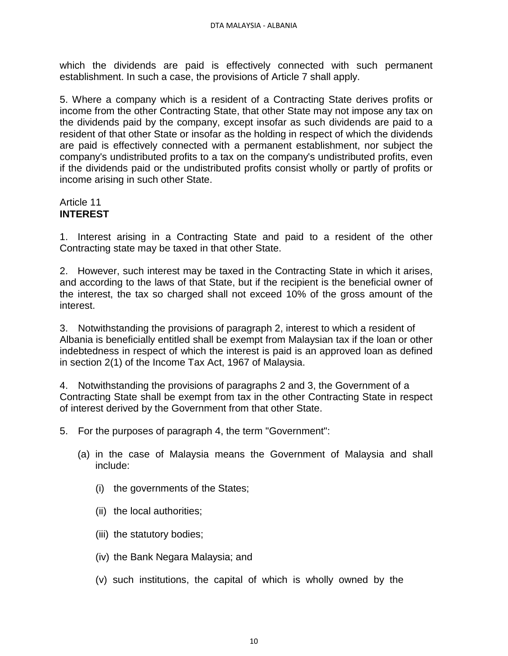which the dividends are paid is effectively connected with such permanent establishment. In such a case, the provisions of Article 7 shall apply.

5. Where a company which is a resident of a Contracting State derives profits or income from the other Contracting State, that other State may not impose any tax on the dividends paid by the company, except insofar as such dividends are paid to a resident of that other State or insofar as the holding in respect of which the dividends are paid is effectively connected with a permanent establishment, nor subject the company's undistributed profits to a tax on the company's undistributed profits, even if the dividends paid or the undistributed profits consist wholly or partly of profits or income arising in such other State.

## Article 11 **INTEREST**

1. Interest arising in a Contracting State and paid to a resident of the other Contracting state may be taxed in that other State.

2. However, such interest may be taxed in the Contracting State in which it arises, and according to the laws of that State, but if the recipient is the beneficial owner of the interest, the tax so charged shall not exceed 10% of the gross amount of the interest.

3. Notwithstanding the provisions of paragraph 2, interest to which a resident of Albania is beneficially entitled shall be exempt from Malaysian tax if the loan or other indebtedness in respect of which the interest is paid is an approved loan as defined in section 2(1) of the Income Tax Act, 1967 of Malaysia.

4. Notwithstanding the provisions of paragraphs 2 and 3, the Government of a Contracting State shall be exempt from tax in the other Contracting State in respect of interest derived by the Government from that other State.

5. For the purposes of paragraph 4, the term "Government":

- (a) in the case of Malaysia means the Government of Malaysia and shall include:
	- (i) the governments of the States;
	- (ii) the local authorities;
	- (iii) the statutory bodies;
	- (iv) the Bank Negara Malaysia; and
	- (v) such institutions, the capital of which is wholly owned by the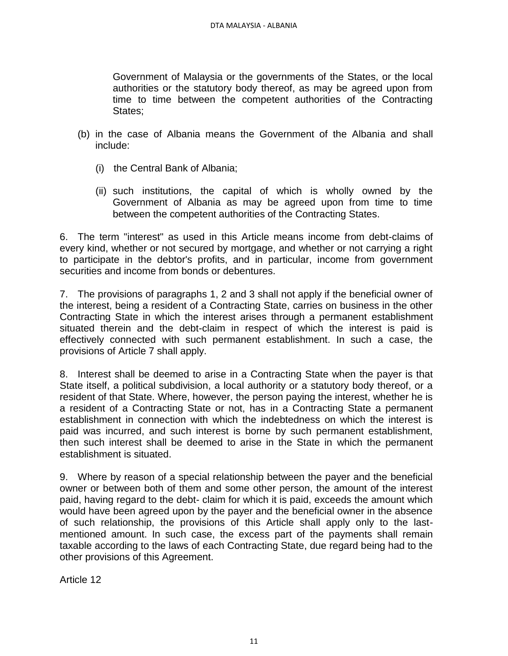Government of Malaysia or the governments of the States, or the local authorities or the statutory body thereof, as may be agreed upon from time to time between the competent authorities of the Contracting States;

- (b) in the case of Albania means the Government of the Albania and shall include:
	- (i) the Central Bank of Albania;
	- (ii) such institutions, the capital of which is wholly owned by the Government of Albania as may be agreed upon from time to time between the competent authorities of the Contracting States.

6. The term "interest" as used in this Article means income from debt-claims of every kind, whether or not secured by mortgage, and whether or not carrying a right to participate in the debtor's profits, and in particular, income from government securities and income from bonds or debentures.

7. The provisions of paragraphs 1, 2 and 3 shall not apply if the beneficial owner of the interest, being a resident of a Contracting State, carries on business in the other Contracting State in which the interest arises through a permanent establishment situated therein and the debt-claim in respect of which the interest is paid is effectively connected with such permanent establishment. In such a case, the provisions of Article 7 shall apply.

8. Interest shall be deemed to arise in a Contracting State when the payer is that State itself, a political subdivision, a local authority or a statutory body thereof, or a resident of that State. Where, however, the person paying the interest, whether he is a resident of a Contracting State or not, has in a Contracting State a permanent establishment in connection with which the indebtedness on which the interest is paid was incurred, and such interest is borne by such permanent establishment, then such interest shall be deemed to arise in the State in which the permanent establishment is situated.

9. Where by reason of a special relationship between the payer and the beneficial owner or between both of them and some other person, the amount of the interest paid, having regard to the debt- claim for which it is paid, exceeds the amount which would have been agreed upon by the payer and the beneficial owner in the absence of such relationship, the provisions of this Article shall apply only to the lastmentioned amount. In such case, the excess part of the payments shall remain taxable according to the laws of each Contracting State, due regard being had to the other provisions of this Agreement.

Article 12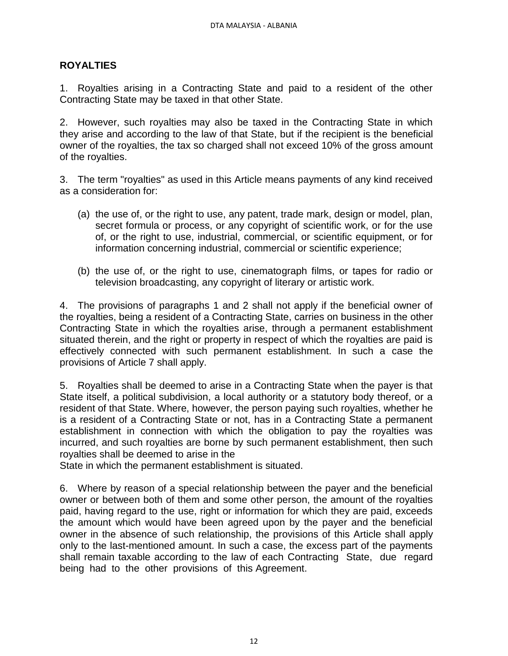# **ROYALTIES**

1. Royalties arising in a Contracting State and paid to a resident of the other Contracting State may be taxed in that other State.

2. However, such royalties may also be taxed in the Contracting State in which they arise and according to the law of that State, but if the recipient is the beneficial owner of the royalties, the tax so charged shall not exceed 10% of the gross amount of the royalties.

3. The term "royalties" as used in this Article means payments of any kind received as a consideration for:

- (a) the use of, or the right to use, any patent, trade mark, design or model, plan, secret formula or process, or any copyright of scientific work, or for the use of, or the right to use, industrial, commercial, or scientific equipment, or for information concerning industrial, commercial or scientific experience;
- (b) the use of, or the right to use, cinematograph films, or tapes for radio or television broadcasting, any copyright of literary or artistic work.

4. The provisions of paragraphs 1 and 2 shall not apply if the beneficial owner of the royalties, being a resident of a Contracting State, carries on business in the other Contracting State in which the royalties arise, through a permanent establishment situated therein, and the right or property in respect of which the royalties are paid is effectively connected with such permanent establishment. In such a case the provisions of Article 7 shall apply.

5. Royalties shall be deemed to arise in a Contracting State when the payer is that State itself, a political subdivision, a local authority or a statutory body thereof, or a resident of that State. Where, however, the person paying such royalties, whether he is a resident of a Contracting State or not, has in a Contracting State a permanent establishment in connection with which the obligation to pay the royalties was incurred, and such royalties are borne by such permanent establishment, then such royalties shall be deemed to arise in the

State in which the permanent establishment is situated.

6. Where by reason of a special relationship between the payer and the beneficial owner or between both of them and some other person, the amount of the royalties paid, having regard to the use, right or information for which they are paid, exceeds the amount which would have been agreed upon by the payer and the beneficial owner in the absence of such relationship, the provisions of this Article shall apply only to the last-mentioned amount. In such a case, the excess part of the payments shall remain taxable according to the law of each Contracting State, due regard being had to the other provisions of this Agreement.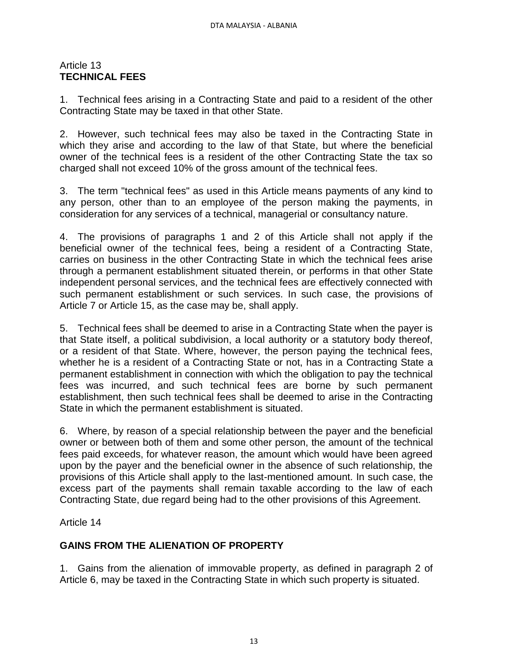## Article 13 **TECHNICAL FEES**

1. Technical fees arising in a Contracting State and paid to a resident of the other Contracting State may be taxed in that other State.

2. However, such technical fees may also be taxed in the Contracting State in which they arise and according to the law of that State, but where the beneficial owner of the technical fees is a resident of the other Contracting State the tax so charged shall not exceed 10% of the gross amount of the technical fees.

3. The term "technical fees" as used in this Article means payments of any kind to any person, other than to an employee of the person making the payments, in consideration for any services of a technical, managerial or consultancy nature.

4. The provisions of paragraphs 1 and 2 of this Article shall not apply if the beneficial owner of the technical fees, being a resident of a Contracting State, carries on business in the other Contracting State in which the technical fees arise through a permanent establishment situated therein, or performs in that other State independent personal services, and the technical fees are effectively connected with such permanent establishment or such services. In such case, the provisions of Article 7 or Article 15, as the case may be, shall apply.

5. Technical fees shall be deemed to arise in a Contracting State when the payer is that State itself, a political subdivision, a local authority or a statutory body thereof, or a resident of that State. Where, however, the person paying the technical fees, whether he is a resident of a Contracting State or not, has in a Contracting State a permanent establishment in connection with which the obligation to pay the technical fees was incurred, and such technical fees are borne by such permanent establishment, then such technical fees shall be deemed to arise in the Contracting State in which the permanent establishment is situated.

6. Where, by reason of a special relationship between the payer and the beneficial owner or between both of them and some other person, the amount of the technical fees paid exceeds, for whatever reason, the amount which would have been agreed upon by the payer and the beneficial owner in the absence of such relationship, the provisions of this Article shall apply to the last-mentioned amount. In such case, the excess part of the payments shall remain taxable according to the law of each Contracting State, due regard being had to the other provisions of this Agreement.

Article 14

# **GAINS FROM THE ALIENATION OF PROPERTY**

1. Gains from the alienation of immovable property, as defined in paragraph 2 of Article 6, may be taxed in the Contracting State in which such property is situated.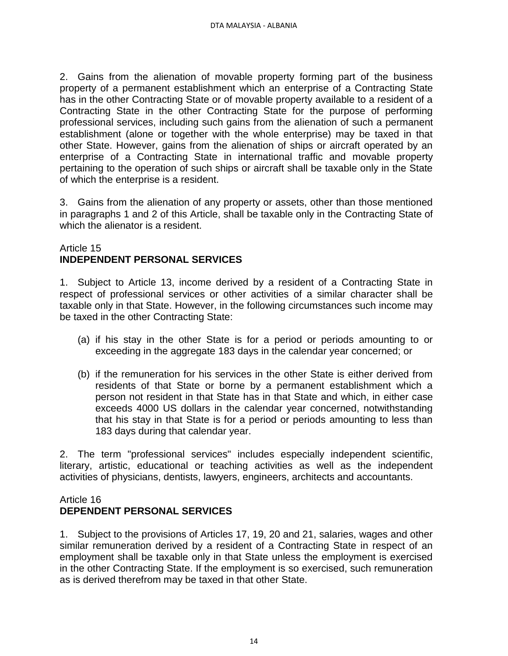2. Gains from the alienation of movable property forming part of the business property of a permanent establishment which an enterprise of a Contracting State has in the other Contracting State or of movable property available to a resident of a Contracting State in the other Contracting State for the purpose of performing professional services, including such gains from the alienation of such a permanent establishment (alone or together with the whole enterprise) may be taxed in that other State. However, gains from the alienation of ships or aircraft operated by an enterprise of a Contracting State in international traffic and movable property pertaining to the operation of such ships or aircraft shall be taxable only in the State of which the enterprise is a resident.

3. Gains from the alienation of any property or assets, other than those mentioned in paragraphs 1 and 2 of this Article, shall be taxable only in the Contracting State of which the alienator is a resident.

# Article 15 **INDEPENDENT PERSONAL SERVICES**

1. Subject to Article 13, income derived by a resident of a Contracting State in respect of professional services or other activities of a similar character shall be taxable only in that State. However, in the following circumstances such income may be taxed in the other Contracting State:

- (a) if his stay in the other State is for a period or periods amounting to or exceeding in the aggregate 183 days in the calendar year concerned; or
- (b) if the remuneration for his services in the other State is either derived from residents of that State or borne by a permanent establishment which a person not resident in that State has in that State and which, in either case exceeds 4000 US dollars in the calendar year concerned, notwithstanding that his stay in that State is for a period or periods amounting to less than 183 days during that calendar year.

2. The term "professional services" includes especially independent scientific, literary, artistic, educational or teaching activities as well as the independent activities of physicians, dentists, lawyers, engineers, architects and accountants.

# Article 16

# **DEPENDENT PERSONAL SERVICES**

1. Subject to the provisions of Articles 17, 19, 20 and 21, salaries, wages and other similar remuneration derived by a resident of a Contracting State in respect of an employment shall be taxable only in that State unless the employment is exercised in the other Contracting State. If the employment is so exercised, such remuneration as is derived therefrom may be taxed in that other State.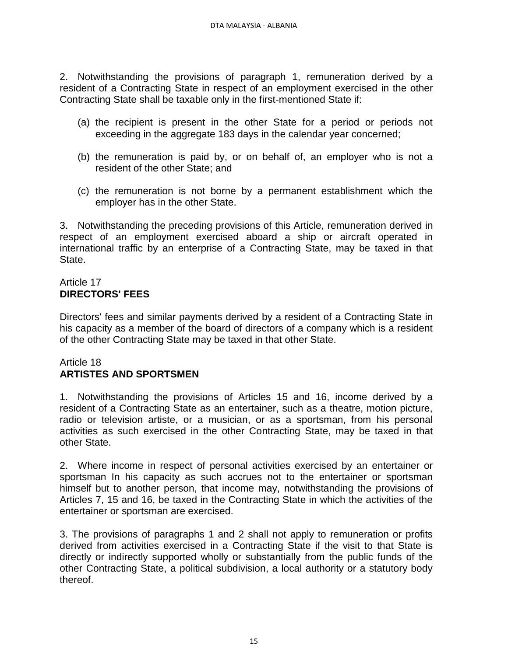2. Notwithstanding the provisions of paragraph 1, remuneration derived by a resident of a Contracting State in respect of an employment exercised in the other Contracting State shall be taxable only in the first-mentioned State if:

- (a) the recipient is present in the other State for a period or periods not exceeding in the aggregate 183 days in the calendar year concerned;
- (b) the remuneration is paid by, or on behalf of, an employer who is not a resident of the other State; and
- (c) the remuneration is not borne by a permanent establishment which the employer has in the other State.

3. Notwithstanding the preceding provisions of this Article, remuneration derived in respect of an employment exercised aboard a ship or aircraft operated in international traffic by an enterprise of a Contracting State, may be taxed in that State.

# Article 17 **DIRECTORS' FEES**

Directors' fees and similar payments derived by a resident of a Contracting State in his capacity as a member of the board of directors of a company which is a resident of the other Contracting State may be taxed in that other State.

# Article 18 **ARTISTES AND SPORTSMEN**

1. Notwithstanding the provisions of Articles 15 and 16, income derived by a resident of a Contracting State as an entertainer, such as a theatre, motion picture, radio or television artiste, or a musician, or as a sportsman, from his personal activities as such exercised in the other Contracting State, may be taxed in that other State.

2. Where income in respect of personal activities exercised by an entertainer or sportsman In his capacity as such accrues not to the entertainer or sportsman himself but to another person, that income may, notwithstanding the provisions of Articles 7, 15 and 16, be taxed in the Contracting State in which the activities of the entertainer or sportsman are exercised.

3. The provisions of paragraphs 1 and 2 shall not apply to remuneration or profits derived from activities exercised in a Contracting State if the visit to that State is directly or indirectly supported wholly or substantially from the public funds of the other Contracting State, a political subdivision, a local authority or a statutory body thereof.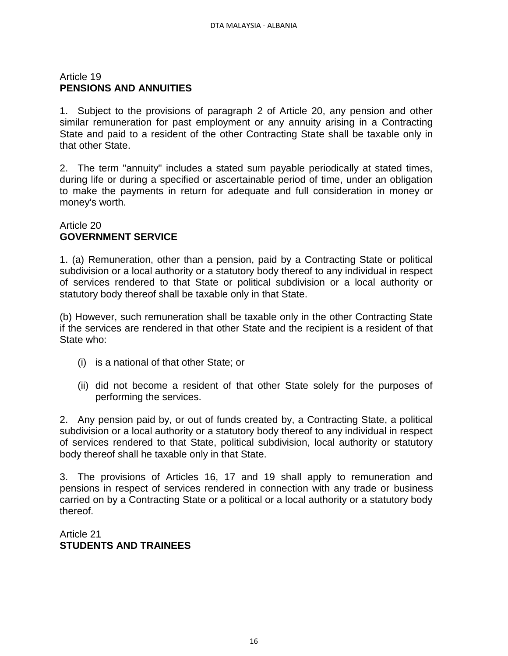# Article 19 **PENSIONS AND ANNUITIES**

1. Subject to the provisions of paragraph 2 of Article 20, any pension and other similar remuneration for past employment or any annuity arising in a Contracting State and paid to a resident of the other Contracting State shall be taxable only in that other State.

2. The term "annuity" includes a stated sum payable periodically at stated times, during life or during a specified or ascertainable period of time, under an obligation to make the payments in return for adequate and full consideration in money or money's worth.

# Article 20 **GOVERNMENT SERVICE**

1. (a) Remuneration, other than a pension, paid by a Contracting State or political subdivision or a local authority or a statutory body thereof to any individual in respect of services rendered to that State or political subdivision or a local authority or statutory body thereof shall be taxable only in that State.

(b) However, such remuneration shall be taxable only in the other Contracting State if the services are rendered in that other State and the recipient is a resident of that State who:

- (i) is a national of that other State; or
- (ii) did not become a resident of that other State solely for the purposes of performing the services.

2. Any pension paid by, or out of funds created by, a Contracting State, a political subdivision or a local authority or a statutory body thereof to any individual in respect of services rendered to that State, political subdivision, local authority or statutory body thereof shall he taxable only in that State.

3. The provisions of Articles 16, 17 and 19 shall apply to remuneration and pensions in respect of services rendered in connection with any trade or business carried on by a Contracting State or a political or a local authority or a statutory body thereof.

Article 21 **STUDENTS AND TRAINEES**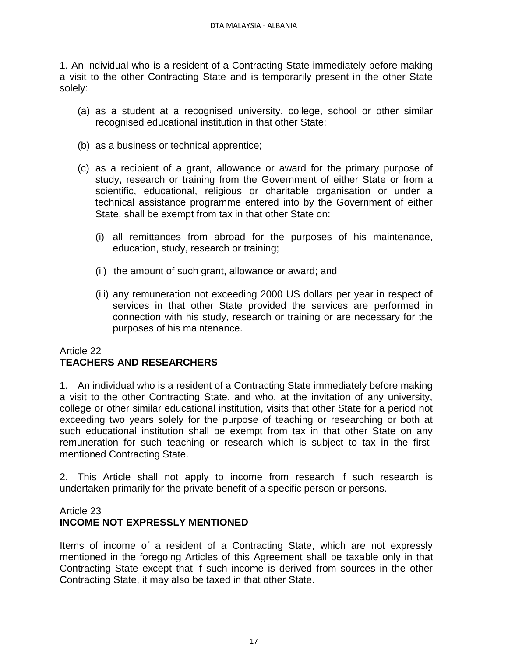1. An individual who is a resident of a Contracting State immediately before making a visit to the other Contracting State and is temporarily present in the other State solely:

- (a) as a student at a recognised university, college, school or other similar recognised educational institution in that other State;
- (b) as a business or technical apprentice;
- (c) as a recipient of a grant, allowance or award for the primary purpose of study, research or training from the Government of either State or from a scientific, educational, religious or charitable organisation or under a technical assistance programme entered into by the Government of either State, shall be exempt from tax in that other State on:
	- (i) all remittances from abroad for the purposes of his maintenance, education, study, research or training;
	- (ii) the amount of such grant, allowance or award; and
	- (iii) any remuneration not exceeding 2000 US dollars per year in respect of services in that other State provided the services are performed in connection with his study, research or training or are necessary for the purposes of his maintenance.

# Article 22 **TEACHERS AND RESEARCHERS**

1. An individual who is a resident of a Contracting State immediately before making a visit to the other Contracting State, and who, at the invitation of any university, college or other similar educational institution, visits that other State for a period not exceeding two years solely for the purpose of teaching or researching or both at such educational institution shall be exempt from tax in that other State on any remuneration for such teaching or research which is subject to tax in the firstmentioned Contracting State.

2. This Article shall not apply to income from research if such research is undertaken primarily for the private benefit of a specific person or persons.

# Article 23 **INCOME NOT EXPRESSLY MENTIONED**

Items of income of a resident of a Contracting State, which are not expressly mentioned in the foregoing Articles of this Agreement shall be taxable only in that Contracting State except that if such income is derived from sources in the other Contracting State, it may also be taxed in that other State.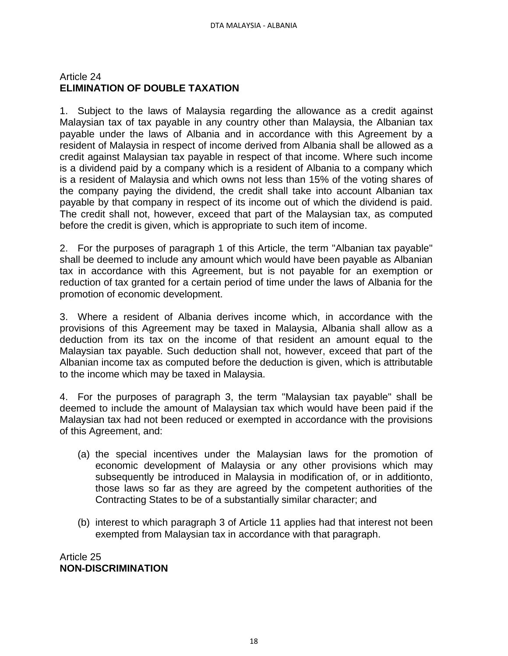# Article 24 **ELIMINATION OF DOUBLE TAXATION**

1. Subject to the laws of Malaysia regarding the allowance as a credit against Malaysian tax of tax payable in any country other than Malaysia, the Albanian tax payable under the laws of Albania and in accordance with this Agreement by a resident of Malaysia in respect of income derived from Albania shall be allowed as a credit against Malaysian tax payable in respect of that income. Where such income is a dividend paid by a company which is a resident of Albania to a company which is a resident of Malaysia and which owns not less than 15% of the voting shares of the company paying the dividend, the credit shall take into account Albanian tax payable by that company in respect of its income out of which the dividend is paid. The credit shall not, however, exceed that part of the Malaysian tax, as computed before the credit is given, which is appropriate to such item of income.

2. For the purposes of paragraph 1 of this Article, the term "Albanian tax payable" shall be deemed to include any amount which would have been payable as Albanian tax in accordance with this Agreement, but is not payable for an exemption or reduction of tax granted for a certain period of time under the laws of Albania for the promotion of economic development.

3. Where a resident of Albania derives income which, in accordance with the provisions of this Agreement may be taxed in Malaysia, Albania shall allow as a deduction from its tax on the income of that resident an amount equal to the Malaysian tax payable. Such deduction shall not, however, exceed that part of the Albanian income tax as computed before the deduction is given, which is attributable to the income which may be taxed in Malaysia.

4. For the purposes of paragraph 3, the term "Malaysian tax payable" shall be deemed to include the amount of Malaysian tax which would have been paid if the Malaysian tax had not been reduced or exempted in accordance with the provisions of this Agreement, and:

- (a) the special incentives under the Malaysian laws for the promotion of economic development of Malaysia or any other provisions which may subsequently be introduced in Malaysia in modification of, or in additionto, those laws so far as they are agreed by the competent authorities of the Contracting States to be of a substantially similar character; and
- (b) interest to which paragraph 3 of Article 11 applies had that interest not been exempted from Malaysian tax in accordance with that paragraph.

Article 25 **NON-DISCRIMINATION**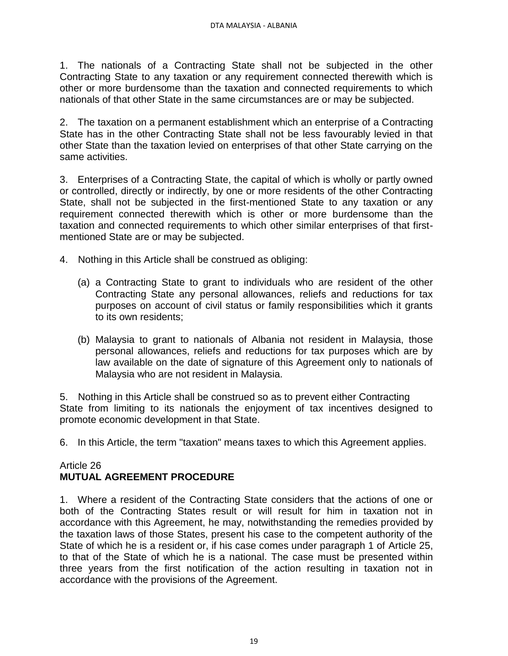1. The nationals of a Contracting State shall not be subjected in the other Contracting State to any taxation or any requirement connected therewith which is other or more burdensome than the taxation and connected requirements to which nationals of that other State in the same circumstances are or may be subjected.

2. The taxation on a permanent establishment which an enterprise of a Contracting State has in the other Contracting State shall not be less favourably levied in that other State than the taxation levied on enterprises of that other State carrying on the same activities.

3. Enterprises of a Contracting State, the capital of which is wholly or partly owned or controlled, directly or indirectly, by one or more residents of the other Contracting State, shall not be subjected in the first-mentioned State to any taxation or any requirement connected therewith which is other or more burdensome than the taxation and connected requirements to which other similar enterprises of that firstmentioned State are or may be subjected.

- 4. Nothing in this Article shall be construed as obliging:
	- (a) a Contracting State to grant to individuals who are resident of the other Contracting State any personal allowances, reliefs and reductions for tax purposes on account of civil status or family responsibilities which it grants to its own residents;
	- (b) Malaysia to grant to nationals of Albania not resident in Malaysia, those personal allowances, reliefs and reductions for tax purposes which are by law available on the date of signature of this Agreement only to nationals of Malaysia who are not resident in Malaysia.

5. Nothing in this Article shall be construed so as to prevent either Contracting State from limiting to its nationals the enjoyment of tax incentives designed to promote economic development in that State.

6. In this Article, the term "taxation" means taxes to which this Agreement applies.

#### Article 26 **MUTUAL AGREEMENT PROCEDURE**

1. Where a resident of the Contracting State considers that the actions of one or both of the Contracting States result or will result for him in taxation not in accordance with this Agreement, he may, notwithstanding the remedies provided by the taxation laws of those States, present his case to the competent authority of the State of which he is a resident or, if his case comes under paragraph 1 of Article 25, to that of the State of which he is a national. The case must be presented within three years from the first notification of the action resulting in taxation not in accordance with the provisions of the Agreement.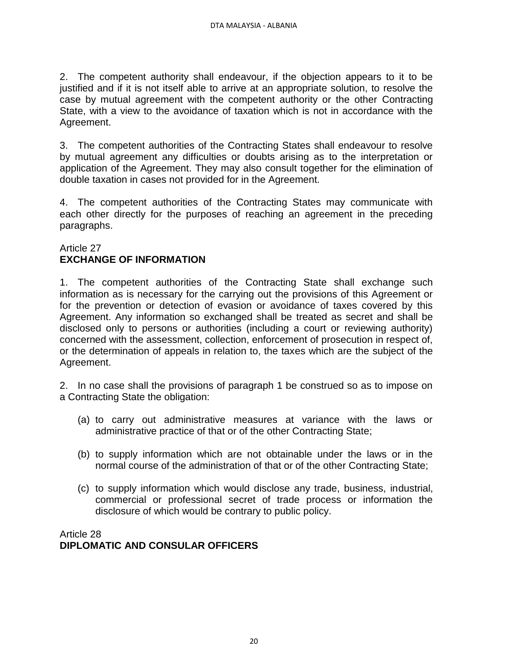2. The competent authority shall endeavour, if the objection appears to it to be justified and if it is not itself able to arrive at an appropriate solution, to resolve the case by mutual agreement with the competent authority or the other Contracting State, with a view to the avoidance of taxation which is not in accordance with the Agreement.

3. The competent authorities of the Contracting States shall endeavour to resolve by mutual agreement any difficulties or doubts arising as to the interpretation or application of the Agreement. They may also consult together for the elimination of double taxation in cases not provided for in the Agreement.

4. The competent authorities of the Contracting States may communicate with each other directly for the purposes of reaching an agreement in the preceding paragraphs.

# Article 27 **EXCHANGE OF INFORMATION**

1. The competent authorities of the Contracting State shall exchange such information as is necessary for the carrying out the provisions of this Agreement or for the prevention or detection of evasion or avoidance of taxes covered by this Agreement. Any information so exchanged shall be treated as secret and shall be disclosed only to persons or authorities (including a court or reviewing authority) concerned with the assessment, collection, enforcement of prosecution in respect of, or the determination of appeals in relation to, the taxes which are the subject of the Agreement.

2. In no case shall the provisions of paragraph 1 be construed so as to impose on a Contracting State the obligation:

- (a) to carry out administrative measures at variance with the laws or administrative practice of that or of the other Contracting State;
- (b) to supply information which are not obtainable under the laws or in the normal course of the administration of that or of the other Contracting State;
- (c) to supply information which would disclose any trade, business, industrial, commercial or professional secret of trade process or information the disclosure of which would be contrary to public policy.

Article 28 **DIPLOMATIC AND CONSULAR OFFICERS**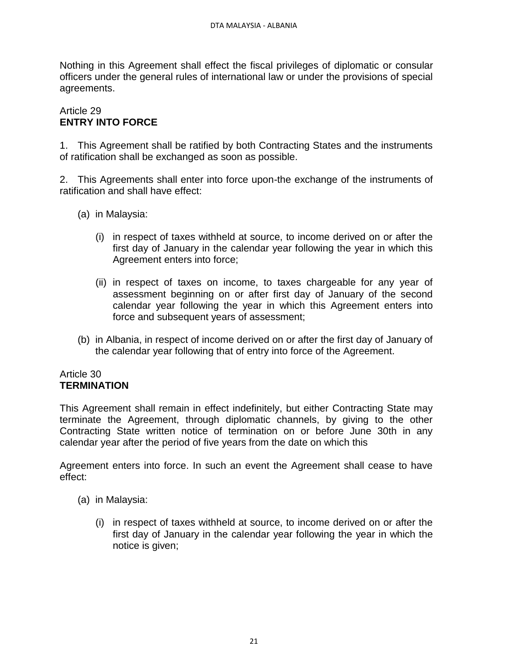Nothing in this Agreement shall effect the fiscal privileges of diplomatic or consular officers under the general rules of international law or under the provisions of special agreements.

# Article 29 **ENTRY INTO FORCE**

1. This Agreement shall be ratified by both Contracting States and the instruments of ratification shall be exchanged as soon as possible.

2. This Agreements shall enter into force upon-the exchange of the instruments of ratification and shall have effect:

- (a) in Malaysia:
	- (i) in respect of taxes withheld at source, to income derived on or after the first day of January in the calendar year following the year in which this Agreement enters into force;
	- (ii) in respect of taxes on income, to taxes chargeable for any year of assessment beginning on or after first day of January of the second calendar year following the year in which this Agreement enters into force and subsequent years of assessment;
- (b) in Albania, in respect of income derived on or after the first day of January of the calendar year following that of entry into force of the Agreement.

#### Article 30 **TERMINATION**

This Agreement shall remain in effect indefinitely, but either Contracting State may terminate the Agreement, through diplomatic channels, by giving to the other Contracting State written notice of termination on or before June 30th in any calendar year after the period of five years from the date on which this

Agreement enters into force. In such an event the Agreement shall cease to have effect:

- (a) in Malaysia:
	- (i) in respect of taxes withheld at source, to income derived on or after the first day of January in the calendar year following the year in which the notice is given;